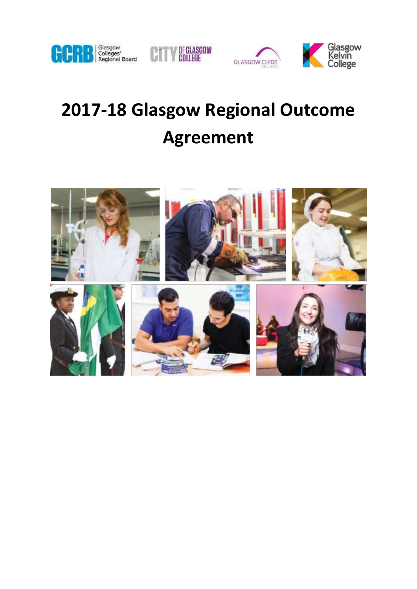





# **2017-18 Glasgow Regional Outcome Agreement**

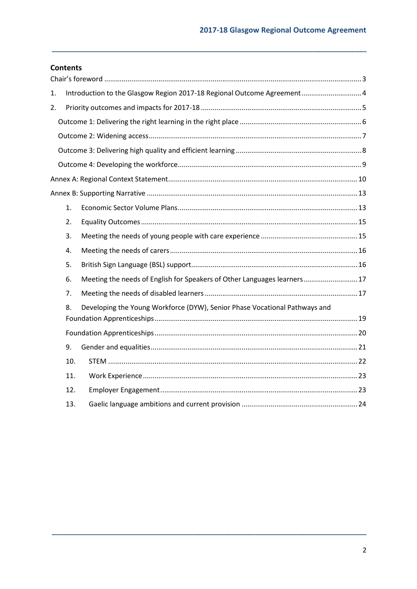## **Contents**

| 1. |     | Introduction to the Glasgow Region 2017-18 Regional Outcome Agreement 4    |  |
|----|-----|----------------------------------------------------------------------------|--|
| 2. |     |                                                                            |  |
|    |     |                                                                            |  |
|    |     |                                                                            |  |
|    |     |                                                                            |  |
|    |     |                                                                            |  |
|    |     |                                                                            |  |
|    |     |                                                                            |  |
|    | 1.  |                                                                            |  |
|    | 2.  |                                                                            |  |
|    | 3.  |                                                                            |  |
|    | 4.  |                                                                            |  |
|    | 5.  |                                                                            |  |
|    | 6.  | Meeting the needs of English for Speakers of Other Languages learners 17   |  |
|    | 7.  |                                                                            |  |
|    | 8.  | Developing the Young Workforce (DYW), Senior Phase Vocational Pathways and |  |
|    |     |                                                                            |  |
|    | 9.  |                                                                            |  |
|    | 10. |                                                                            |  |
|    | 11. |                                                                            |  |
|    | 12. |                                                                            |  |
|    | 13. |                                                                            |  |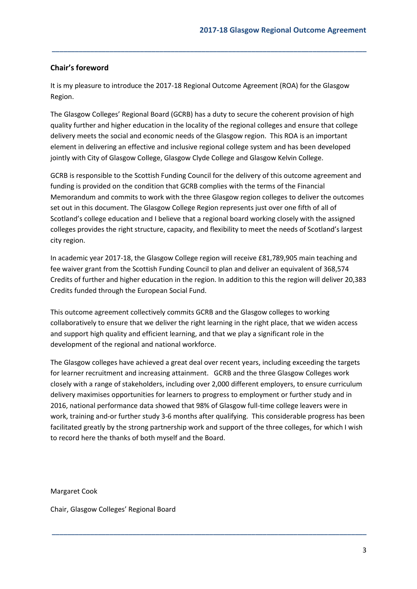## <span id="page-2-0"></span>**Chair's foreword**

It is my pleasure to introduce the 2017-18 Regional Outcome Agreement (ROA) for the Glasgow Region.

**\_\_\_\_\_\_\_\_\_\_\_\_\_\_\_\_\_\_\_\_\_\_\_\_\_\_\_\_\_\_\_\_\_\_\_\_\_\_\_\_\_\_\_\_\_\_\_\_\_\_\_\_\_\_\_\_\_\_\_\_\_\_\_\_\_\_\_\_\_\_\_\_\_\_\_\_\_\_\_\_\_\_**

The Glasgow Colleges' Regional Board (GCRB) has a duty to secure the coherent provision of high quality further and higher education in the locality of the regional colleges and ensure that college delivery meets the social and economic needs of the Glasgow region. This ROA is an important element in delivering an effective and inclusive regional college system and has been developed jointly with City of Glasgow College, Glasgow Clyde College and Glasgow Kelvin College.

GCRB is responsible to the Scottish Funding Council for the delivery of this outcome agreement and funding is provided on the condition that GCRB complies with the terms of the Financial Memorandum and commits to work with the three Glasgow region colleges to deliver the outcomes set out in this document. The Glasgow College Region represents just over one fifth of all of Scotland's college education and I believe that a regional board working closely with the assigned colleges provides the right structure, capacity, and flexibility to meet the needs of Scotland's largest city region.

In academic year 2017-18, the Glasgow College region will receive £81,789,905 main teaching and fee waiver grant from the Scottish Funding Council to plan and deliver an equivalent of 368,574 Credits of further and higher education in the region. In addition to this the region will deliver 20,383 Credits funded through the European Social Fund.

This outcome agreement collectively commits GCRB and the Glasgow colleges to working collaboratively to ensure that we deliver the right learning in the right place, that we widen access and support high quality and efficient learning, and that we play a significant role in the development of the regional and national workforce.

The Glasgow colleges have achieved a great deal over recent years, including exceeding the targets for learner recruitment and increasing attainment. GCRB and the three Glasgow Colleges work closely with a range of stakeholders, including over 2,000 different employers, to ensure curriculum delivery maximises opportunities for learners to progress to employment or further study and in 2016, national performance data showed that 98% of Glasgow full-time college leavers were in work, training and-or further study 3-6 months after qualifying. This considerable progress has been facilitated greatly by the strong partnership work and support of the three colleges, for which I wish to record here the thanks of both myself and the Board.

**\_\_\_\_\_\_\_\_\_\_\_\_\_\_\_\_\_\_\_\_\_\_\_\_\_\_\_\_\_\_\_\_\_\_\_\_\_\_\_\_\_\_\_\_\_\_\_\_\_\_\_\_\_\_\_\_\_\_\_\_\_\_\_\_\_\_\_\_\_\_\_\_\_\_\_\_\_\_\_\_\_\_**

Margaret Cook

Chair, Glasgow Colleges' Regional Board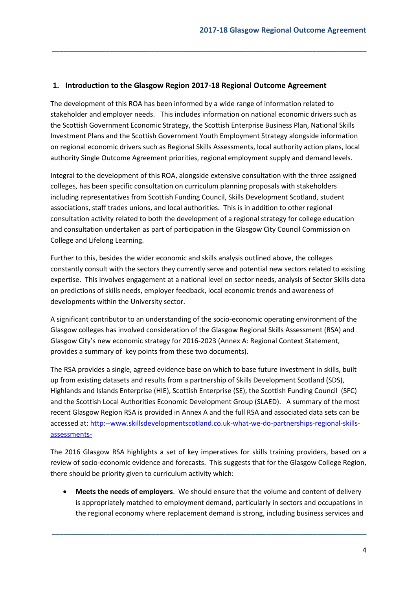#### <span id="page-3-0"></span>**1. Introduction to the Glasgow Region 2017-18 Regional Outcome Agreement**

The development of this ROA has been informed by a wide range of information related to stakeholder and employer needs. This includes information on national economic drivers such as the Scottish Government Economic Strategy, the Scottish Enterprise Business Plan, National Skills Investment Plans and the Scottish Government Youth Employment Strategy alongside information on regional economic drivers such as Regional Skills Assessments, local authority action plans, local authority Single Outcome Agreement priorities, regional employment supply and demand levels.

**\_\_\_\_\_\_\_\_\_\_\_\_\_\_\_\_\_\_\_\_\_\_\_\_\_\_\_\_\_\_\_\_\_\_\_\_\_\_\_\_\_\_\_\_\_\_\_\_\_\_\_\_\_\_\_\_\_\_\_\_\_\_\_\_\_\_\_\_\_\_\_\_\_\_\_\_\_\_\_\_\_\_**

Integral to the development of this ROA, alongside extensive consultation with the three assigned colleges, has been specific consultation on curriculum planning proposals with stakeholders including representatives from Scottish Funding Council, Skills Development Scotland, student associations, staff trades unions, and local authorities. This is in addition to other regional consultation activity related to both the development of a regional strategy for college education and consultation undertaken as part of participation in the Glasgow City Council Commission on College and Lifelong Learning.

Further to this, besides the wider economic and skills analysis outlined above, the colleges constantly consult with the sectors they currently serve and potential new sectors related to existing expertise. This involves engagement at a national level on sector needs, analysis of Sector Skills data on predictions of skills needs, employer feedback, local economic trends and awareness of developments within the University sector.

A significant contributor to an understanding of the socio-economic operating environment of the Glasgow colleges has involved consideration of the Glasgow Regional Skills Assessment (RSA) and Glasgow City's new economic strategy for 2016-2023 (Annex A: Regional Context Statement, provides a summary of key points from these two documents).

The RSA provides a single, agreed evidence base on which to base future investment in skills, built up from existing datasets and results from a partnership of Skills Development Scotland (SDS), Highlands and Islands Enterprise (HIE), Scottish Enterprise (SE), the Scottish Funding Council (SFC) and the Scottish Local Authorities Economic Development Group (SLAED). A summary of the most recent Glasgow Region RSA is provided in Annex A and the full RSA and associated data sets can be accessed at: [http:--www.skillsdevelopmentscotland.co.uk-what-we-do-partnerships-regional-skills](http://www.skillsdevelopmentscotland.co.uk/what-we-do/partnerships/regional-skills-assessments/)[assessments-](http://www.skillsdevelopmentscotland.co.uk/what-we-do/partnerships/regional-skills-assessments/)

The 2016 Glasgow RSA highlights a set of key imperatives for skills training providers, based on a review of socio-economic evidence and forecasts. This suggests that for the Glasgow College Region, there should be priority given to curriculum activity which:

 **Meets the needs of employers**. We should ensure that the volume and content of delivery is appropriately matched to employment demand, particularly in sectors and occupations in the regional economy where replacement demand is strong, including business services and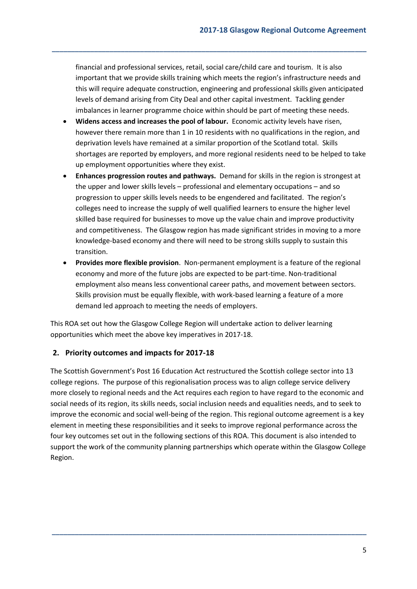financial and professional services, retail, social care/child care and tourism. It is also important that we provide skills training which meets the region's infrastructure needs and this will require adequate construction, engineering and professional skills given anticipated levels of demand arising from City Deal and other capital investment. Tackling gender imbalances in learner programme choice within should be part of meeting these needs.

**\_\_\_\_\_\_\_\_\_\_\_\_\_\_\_\_\_\_\_\_\_\_\_\_\_\_\_\_\_\_\_\_\_\_\_\_\_\_\_\_\_\_\_\_\_\_\_\_\_\_\_\_\_\_\_\_\_\_\_\_\_\_\_\_\_\_\_\_\_\_\_\_\_\_\_\_\_\_\_\_\_\_**

- **Widens access and increases the pool of labour.** Economic activity levels have risen, however there remain more than 1 in 10 residents with no qualifications in the region, and deprivation levels have remained at a similar proportion of the Scotland total. Skills shortages are reported by employers, and more regional residents need to be helped to take up employment opportunities where they exist.
- **Enhances progression routes and pathways.** Demand for skills in the region is strongest at the upper and lower skills levels – professional and elementary occupations – and so progression to upper skills levels needs to be engendered and facilitated. The region's colleges need to increase the supply of well qualified learners to ensure the higher level skilled base required for businesses to move up the value chain and improve productivity and competitiveness. The Glasgow region has made significant strides in moving to a more knowledge-based economy and there will need to be strong skills supply to sustain this transition.
- **Provides more flexible provision**. Non-permanent employment is a feature of the regional economy and more of the future jobs are expected to be part-time. Non-traditional employment also means less conventional career paths, and movement between sectors. Skills provision must be equally flexible, with work-based learning a feature of a more demand led approach to meeting the needs of employers.

This ROA set out how the Glasgow College Region will undertake action to deliver learning opportunities which meet the above key imperatives in 2017-18.

## <span id="page-4-0"></span>**2. Priority outcomes and impacts for 2017-18**

The Scottish Government's Post 16 Education Act restructured the Scottish college sector into 13 college regions. The purpose of this regionalisation process was to align college service delivery more closely to regional needs and the Act requires each region to have regard to the economic and social needs of its region, its skills needs, social inclusion needs and equalities needs, and to seek to improve the economic and social well-being of the region. This regional outcome agreement is a key element in meeting these responsibilities and it seeks to improve regional performance across the four key outcomes set out in the following sections of this ROA. This document is also intended to support the work of the community planning partnerships which operate within the Glasgow College Region.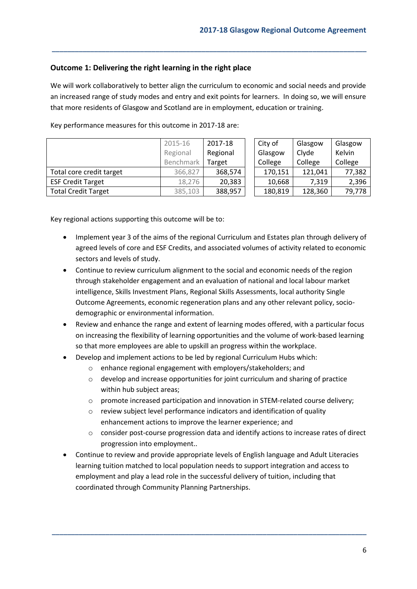## <span id="page-5-0"></span>**Outcome 1: Delivering the right learning in the right place**

We will work collaboratively to better align the curriculum to economic and social needs and provide an increased range of study modes and entry and exit points for learners. In doing so, we will ensure that more residents of Glasgow and Scotland are in employment, education or training.

**\_\_\_\_\_\_\_\_\_\_\_\_\_\_\_\_\_\_\_\_\_\_\_\_\_\_\_\_\_\_\_\_\_\_\_\_\_\_\_\_\_\_\_\_\_\_\_\_\_\_\_\_\_\_\_\_\_\_\_\_\_\_\_\_\_\_\_\_\_\_\_\_\_\_\_\_\_\_\_\_\_\_**

|                            | 2015-16<br>Regional | 2017-18<br>Regional |  | City of<br>Glasgow | Glasgow<br>Clyde | Glasgow<br>Kelvin |
|----------------------------|---------------------|---------------------|--|--------------------|------------------|-------------------|
|                            | Benchmark           | Target              |  | College            | College          | College           |
| Total core credit target   | 366,827             | 368,574             |  | 170,151            | 121,041          | 77,382            |
| <b>ESF Credit Target</b>   | 18,276              | 20,383              |  | 10,668             | 7.319            | 2,396             |
| <b>Total Credit Target</b> | 385,103             | 388,957             |  | 180,819            | 128,360          | 79,778            |

Key performance measures for this outcome in 2017-18 are:

Key regional actions supporting this outcome will be to:

- Implement year 3 of the aims of the regional Curriculum and Estates plan through delivery of agreed levels of core and ESF Credits, and associated volumes of activity related to economic sectors and levels of study.
- Continue to review curriculum alignment to the social and economic needs of the region through stakeholder engagement and an evaluation of national and local labour market intelligence, Skills Investment Plans, Regional Skills Assessments, local authority Single Outcome Agreements, economic regeneration plans and any other relevant policy, sociodemographic or environmental information.
- Review and enhance the range and extent of learning modes offered, with a particular focus on increasing the flexibility of learning opportunities and the volume of work-based learning so that more employees are able to upskill an progress within the workplace.
- Develop and implement actions to be led by regional Curriculum Hubs which:
	- o enhance regional engagement with employers/stakeholders; and
	- o develop and increase opportunities for joint curriculum and sharing of practice within hub subject areas;
	- o promote increased participation and innovation in STEM-related course delivery;
	- o review subject level performance indicators and identification of quality enhancement actions to improve the learner experience; and
	- o consider post-course progression data and identify actions to increase rates of direct progression into employment..
- Continue to review and provide appropriate levels of English language and Adult Literacies learning tuition matched to local population needs to support integration and access to employment and play a lead role in the successful delivery of tuition, including that coordinated through Community Planning Partnerships.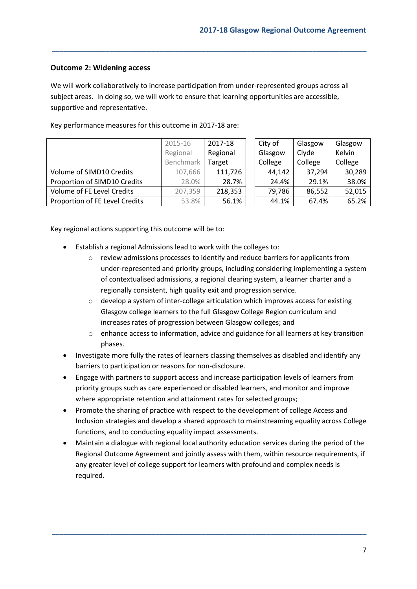## <span id="page-6-0"></span>**Outcome 2: Widening access**

We will work collaboratively to increase participation from under-represented groups across all subject areas. In doing so, we will work to ensure that learning opportunities are accessible, supportive and representative.

**\_\_\_\_\_\_\_\_\_\_\_\_\_\_\_\_\_\_\_\_\_\_\_\_\_\_\_\_\_\_\_\_\_\_\_\_\_\_\_\_\_\_\_\_\_\_\_\_\_\_\_\_\_\_\_\_\_\_\_\_\_\_\_\_\_\_\_\_\_\_\_\_\_\_\_\_\_\_\_\_\_\_**

|                                | 2015-16              | 2017-18 |  | City of | Glasgow | Glasgow       |
|--------------------------------|----------------------|---------|--|---------|---------|---------------|
|                                | Regional<br>Regional |         |  | Glasgow | Clyde   | <b>Kelvin</b> |
|                                | Benchmark            | Target  |  | College | College | College       |
| Volume of SIMD10 Credits       | 107,666              | 111,726 |  | 44,142  | 37,294  | 30,289        |
| Proportion of SIMD10 Credits   | 28.0%                | 28.7%   |  | 24.4%   | 29.1%   | 38.0%         |
| Volume of FE Level Credits     | 207,359              | 218,353 |  | 79,786  | 86,552  | 52,015        |
| Proportion of FE Level Credits | 53.8%                | 56.1%   |  | 44.1%   | 67.4%   | 65.2%         |

Key performance measures for this outcome in 2017-18 are:

Key regional actions supporting this outcome will be to:

- Establish a regional Admissions lead to work with the colleges to:
	- o review admissions processes to identify and reduce barriers for applicants from under-represented and priority groups, including considering implementing a system of contextualised admissions, a regional clearing system, a learner charter and a regionally consistent, high quality exit and progression service.
	- o develop a system of inter-college articulation which improves access for existing Glasgow college learners to the full Glasgow College Region curriculum and increases rates of progression between Glasgow colleges; and
	- $\circ$  enhance access to information, advice and guidance for all learners at key transition phases.
- Investigate more fully the rates of learners classing themselves as disabled and identify any barriers to participation or reasons for non-disclosure.
- Engage with partners to support access and increase participation levels of learners from priority groups such as care experienced or disabled learners, and monitor and improve where appropriate retention and attainment rates for selected groups;
- Promote the sharing of practice with respect to the development of college Access and Inclusion strategies and develop a shared approach to mainstreaming equality across College functions, and to conducting equality impact assessments.
- Maintain a dialogue with regional local authority education services during the period of the Regional Outcome Agreement and jointly assess with them, within resource requirements, if any greater level of college support for learners with profound and complex needs is required.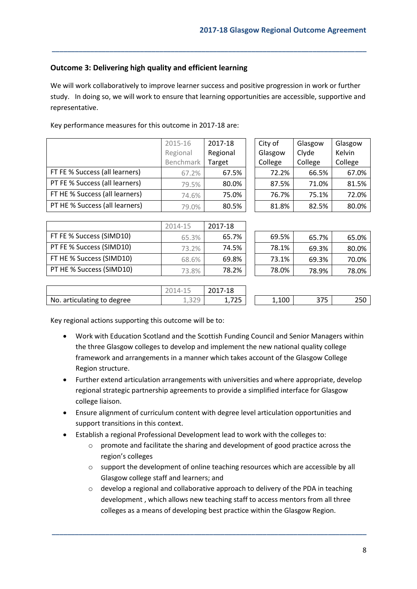## <span id="page-7-0"></span>**Outcome 3: Delivering high quality and efficient learning**

We will work collaboratively to improve learner success and positive progression in work or further study. In doing so, we will work to ensure that learning opportunities are accessible, supportive and representative.

**\_\_\_\_\_\_\_\_\_\_\_\_\_\_\_\_\_\_\_\_\_\_\_\_\_\_\_\_\_\_\_\_\_\_\_\_\_\_\_\_\_\_\_\_\_\_\_\_\_\_\_\_\_\_\_\_\_\_\_\_\_\_\_\_\_\_\_\_\_\_\_\_\_\_\_\_\_\_\_\_\_\_**

|                                | 2015-16   | 2017-18  | City of | Glasgow | Glasgow |
|--------------------------------|-----------|----------|---------|---------|---------|
|                                | Regional  | Regional | Glasgow | Clyde   | Kelvin  |
|                                | Benchmark | Target   | College | College | College |
| FT FE % Success (all learners) | 67.2%     | 67.5%    | 72.2%   | 66.5%   | 67.0%   |
| PT FE % Success (all learners) | 79.5%     | 80.0%    | 87.5%   | 71.0%   | 81.5%   |
| FT HE % Success (all learners) | 74.6%     | 75.0%    | 76.7%   | 75.1%   | 72.0%   |
| PT HE % Success (all learners) | 79.0%     | 80.5%    | 81.8%   | 82.5%   | 80.0%   |

Key performance measures for this outcome in 2017-18 are:

|                          | 2014-15 | 2017-18 |       |       |       |
|--------------------------|---------|---------|-------|-------|-------|
| FT FE % Success (SIMD10) | 65.3%   | 65.7%   | 69.5% | 65.7% | 65.0% |
| PT FE % Success (SIMD10) | 73.2%   | 74.5%   | 78.1% | 69.3% | 80.0% |
| FT HE % Success (SIMD10) | 68.6%   | 69.8%   | 73.1% | 69.3% | 70.0% |
| PT HE % Success (SIMD10) | 73.8%   | 78.2%   | 78.0% | 78.9% | 78.0% |

| 69.5% | 65.7% | 65.0% |
|-------|-------|-------|
| 78.1% | 69.3% | 80.0% |
| 73.1% | 69.3% | 70.0% |
| 78.0% | 78.9% | 78.0% |

|                            | $\perp$<br>∠∪⊥∙<br>ب بان | 2017-18      |       |            |     |
|----------------------------|--------------------------|--------------|-------|------------|-----|
| No. articulating to degree | $\cap$ $\cap$<br>エテンニン   | フつに<br>1,72J | 1,100 | つつに<br>31J | 250 |

Key regional actions supporting this outcome will be to:

- Work with Education Scotland and the Scottish Funding Council and Senior Managers within the three Glasgow colleges to develop and implement the new national quality college framework and arrangements in a manner which takes account of the Glasgow College Region structure.
- Further extend articulation arrangements with universities and where appropriate, develop regional strategic partnership agreements to provide a simplified interface for Glasgow college liaison.
- Ensure alignment of curriculum content with degree level articulation opportunities and support transitions in this context.
- Establish a regional Professional Development lead to work with the colleges to:
	- o promote and facilitate the sharing and development of good practice across the region's colleges
	- o support the development of online teaching resources which are accessible by all Glasgow college staff and learners; and
	- $\circ$  develop a regional and collaborative approach to delivery of the PDA in teaching development , which allows new teaching staff to access mentors from all three colleges as a means of developing best practice within the Glasgow Region.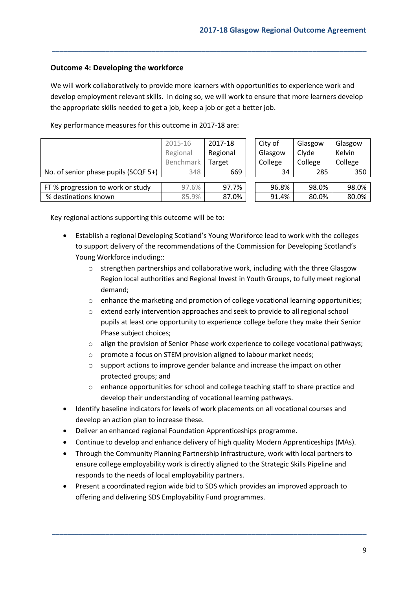## <span id="page-8-0"></span>**Outcome 4: Developing the workforce**

We will work collaboratively to provide more learners with opportunities to experience work and develop employment relevant skills. In doing so, we will work to ensure that more learners develop the appropriate skills needed to get a job, keep a job or get a better job.

**\_\_\_\_\_\_\_\_\_\_\_\_\_\_\_\_\_\_\_\_\_\_\_\_\_\_\_\_\_\_\_\_\_\_\_\_\_\_\_\_\_\_\_\_\_\_\_\_\_\_\_\_\_\_\_\_\_\_\_\_\_\_\_\_\_\_\_\_\_\_\_\_\_\_\_\_\_\_\_\_\_\_**

Key performance measures for this outcome in 2017-18 are:

|                                      | 2015-16<br>Regional | 2017-18<br>Regional | City of<br>Glasgow | Glasgow<br>Clyde | Glasgow<br>Kelvin |
|--------------------------------------|---------------------|---------------------|--------------------|------------------|-------------------|
|                                      | Benchmark           | Target              | College            | College          | College           |
| No. of senior phase pupils (SCQF 5+) | 348                 | 669                 | 34                 | 285              | 350               |
|                                      |                     |                     |                    |                  |                   |
| FT % progression to work or study    | 97.6%               | 97.7%               | 96.8%              | 98.0%            | 98.0%             |
| % destinations known                 | 85.9%               | 87.0%               | 91.4%              | 80.0%            | 80.0%             |

Key regional actions supporting this outcome will be to:

- Establish a regional Developing Scotland's Young Workforce lead to work with the colleges to support delivery of the recommendations of the Commission for Developing Scotland's Young Workforce including::
	- o strengthen partnerships and collaborative work, including with the three Glasgow Region local authorities and Regional Invest in Youth Groups, to fully meet regional demand;
	- o enhance the marketing and promotion of college vocational learning opportunities;
	- o extend early intervention approaches and seek to provide to all regional school pupils at least one opportunity to experience college before they make their Senior Phase subject choices;
	- o align the provision of Senior Phase work experience to college vocational pathways;
	- o promote a focus on STEM provision aligned to labour market needs;
	- o support actions to improve gender balance and increase the impact on other protected groups; and
	- o enhance opportunities for school and college teaching staff to share practice and develop their understanding of vocational learning pathways.
- Identify baseline indicators for levels of work placements on all vocational courses and develop an action plan to increase these.
- Deliver an enhanced regional Foundation Apprenticeships programme.
- Continue to develop and enhance delivery of high quality Modern Apprenticeships (MAs).
- Through the Community Planning Partnership infrastructure, work with local partners to ensure college employability work is directly aligned to the Strategic Skills Pipeline and responds to the needs of local employability partners.
- Present a coordinated region wide bid to SDS which provides an improved approach to offering and delivering SDS Employability Fund programmes.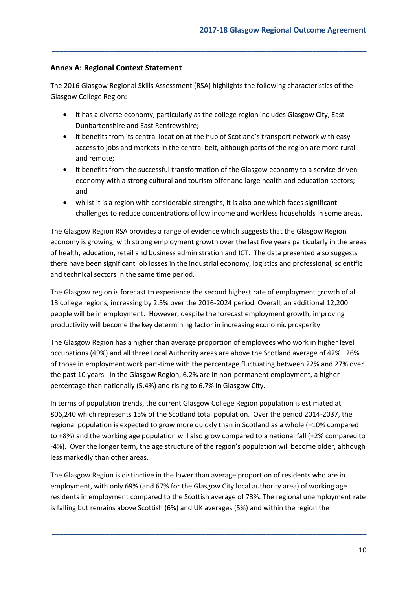## <span id="page-9-0"></span>**Annex A: Regional Context Statement**

The 2016 Glasgow Regional Skills Assessment (RSA) highlights the following characteristics of the Glasgow College Region:

**\_\_\_\_\_\_\_\_\_\_\_\_\_\_\_\_\_\_\_\_\_\_\_\_\_\_\_\_\_\_\_\_\_\_\_\_\_\_\_\_\_\_\_\_\_\_\_\_\_\_\_\_\_\_\_\_\_\_\_\_\_\_\_\_\_\_\_\_\_\_\_\_\_\_\_\_\_\_\_\_\_\_**

- it has a diverse economy, particularly as the college region includes Glasgow City, East Dunbartonshire and East Renfrewshire;
- it benefits from its central location at the hub of Scotland's transport network with easy access to jobs and markets in the central belt, although parts of the region are more rural and remote;
- it benefits from the successful transformation of the Glasgow economy to a service driven economy with a strong cultural and tourism offer and large health and education sectors; and
- whilst it is a region with considerable strengths, it is also one which faces significant challenges to reduce concentrations of low income and workless households in some areas.

The Glasgow Region RSA provides a range of evidence which suggests that the Glasgow Region economy is growing, with strong employment growth over the last five years particularly in the areas of health, education, retail and business administration and ICT. The data presented also suggests there have been significant job losses in the industrial economy, logistics and professional, scientific and technical sectors in the same time period.

The Glasgow region is forecast to experience the second highest rate of employment growth of all 13 college regions, increasing by 2.5% over the 2016-2024 period. Overall, an additional 12,200 people will be in employment. However, despite the forecast employment growth, improving productivity will become the key determining factor in increasing economic prosperity.

The Glasgow Region has a higher than average proportion of employees who work in higher level occupations (49%) and all three Local Authority areas are above the Scotland average of 42%. 26% of those in employment work part-time with the percentage fluctuating between 22% and 27% over the past 10 years. In the Glasgow Region, 6.2% are in non-permanent employment, a higher percentage than nationally (5.4%) and rising to 6.7% in Glasgow City.

In terms of population trends, the current Glasgow College Region population is estimated at 806,240 which represents 15% of the Scotland total population. Over the period 2014-2037, the regional population is expected to grow more quickly than in Scotland as a whole (+10% compared to +8%) and the working age population will also grow compared to a national fall (+2% compared to -4%). Over the longer term, the age structure of the region's population will become older, although less markedly than other areas.

The Glasgow Region is distinctive in the lower than average proportion of residents who are in employment, with only 69% (and 67% for the Glasgow City local authority area) of working age residents in employment compared to the Scottish average of 73%. The regional unemployment rate is falling but remains above Scottish (6%) and UK averages (5%) and within the region the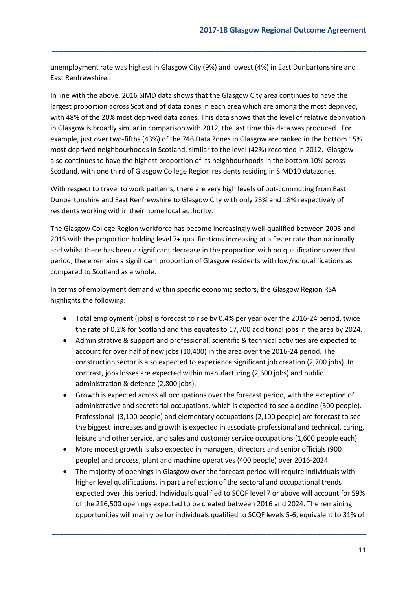unemployment rate was highest in Glasgow City (9%) and lowest (4%) in East Dunbartonshire and East Renfrewshire.

**\_\_\_\_\_\_\_\_\_\_\_\_\_\_\_\_\_\_\_\_\_\_\_\_\_\_\_\_\_\_\_\_\_\_\_\_\_\_\_\_\_\_\_\_\_\_\_\_\_\_\_\_\_\_\_\_\_\_\_\_\_\_\_\_\_\_\_\_\_\_\_\_\_\_\_\_\_\_\_\_\_\_**

In line with the above, 2016 SIMD data shows that the Glasgow City area continues to have the largest proportion across Scotland of data zones in each area which are among the most deprived, with 48% of the 20% most deprived data zones. This data shows that the level of relative deprivation in Glasgow is broadly similar in comparison with 2012, the last time this data was produced. For example, just over two-fifths (43%) of the 746 Data Zones in Glasgow are ranked in the bottom 15% most deprived neighbourhoods in Scotland, similar to the level (42%) recorded in 2012. Glasgow also continues to have the highest proportion of its neighbourhoods in the bottom 10% across Scotland, with one third of Glasgow College Region residents residing in SIMD10 datazones.

With respect to travel to work patterns, there are very high levels of out-commuting from East Dunbartonshire and East Renfrewshire to Glasgow City with only 25% and 18% respectively of residents working within their home local authority.

The Glasgow College Region workforce has become increasingly well-qualified between 2005 and 2015 with the proportion holding level 7+ qualifications increasing at a faster rate than nationally and whilst there has been a significant decrease in the proportion with no qualifications over that period, there remains a significant proportion of Glasgow residents with low/no qualifications as compared to Scotland as a whole.

In terms of employment demand within specific economic sectors, the Glasgow Region RSA highlights the following:

- Total employment (jobs) is forecast to rise by 0.4% per year over the 2016-24 period, twice the rate of 0.2% for Scotland and this equates to 17,700 additional jobs in the area by 2024.
- Administrative & support and professional, scientific & technical activities are expected to account for over half of new jobs (10,400) in the area over the 2016-24 period. The construction sector is also expected to experience significant job creation (2,700 jobs). In contrast, jobs losses are expected within manufacturing (2,600 jobs) and public administration & defence (2,800 jobs).
- Growth is expected across all occupations over the forecast period, with the exception of administrative and secretarial occupations, which is expected to see a decline (500 people). Professional (3,100 people) and elementary occupations (2,100 people) are forecast to see the biggest increases and growth is expected in associate professional and technical, caring, leisure and other service, and sales and customer service occupations (1,600 people each).
- More modest growth is also expected in managers, directors and senior officials (900 people) and process, plant and machine operatives (400 people) over 2016-2024.
- The majority of openings in Glasgow over the forecast period will require individuals with higher level qualifications, in part a reflection of the sectoral and occupational trends expected over this period. Individuals qualified to SCQF level 7 or above will account for 59% of the 216,500 openings expected to be created between 2016 and 2024. The remaining opportunities will mainly be for individuals qualified to SCQF levels 5-6, equivalent to 31% of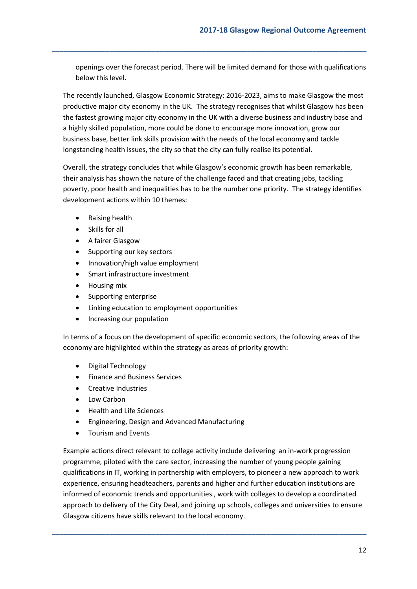openings over the forecast period. There will be limited demand for those with qualifications below this level.

**\_\_\_\_\_\_\_\_\_\_\_\_\_\_\_\_\_\_\_\_\_\_\_\_\_\_\_\_\_\_\_\_\_\_\_\_\_\_\_\_\_\_\_\_\_\_\_\_\_\_\_\_\_\_\_\_\_\_\_\_\_\_\_\_\_\_\_\_\_\_\_\_\_\_\_\_\_\_\_\_\_\_**

The recently launched, Glasgow Economic Strategy: 2016-2023, aims to make Glasgow the most productive major city economy in the UK. The strategy recognises that whilst Glasgow has been the fastest growing major city economy in the UK with a diverse business and industry base and a highly skilled population, more could be done to encourage more innovation, grow our business base, better link skills provision with the needs of the local economy and tackle longstanding health issues, the city so that the city can fully realise its potential.

Overall, the strategy concludes that while Glasgow's economic growth has been remarkable, their analysis has shown the nature of the challenge faced and that creating jobs, tackling poverty, poor health and inequalities has to be the number one priority. The strategy identifies development actions within 10 themes:

- Raising health
- Skills for all
- A fairer Glasgow
- Supporting our key sectors
- Innovation/high value employment
- Smart infrastructure investment
- Housing mix
- Supporting enterprise
- Linking education to employment opportunities
- Increasing our population

In terms of a focus on the development of specific economic sectors, the following areas of the economy are highlighted within the strategy as areas of priority growth:

- Digital Technology
- Finance and Business Services
- Creative Industries
- Low Carbon
- Health and Life Sciences
- Engineering, Design and Advanced Manufacturing
- Tourism and Events

Example actions direct relevant to college activity include delivering an in-work progression programme, piloted with the care sector, increasing the number of young people gaining qualifications in IT, working in partnership with employers, to pioneer a new approach to work experience, ensuring headteachers, parents and higher and further education institutions are informed of economic trends and opportunities , work with colleges to develop a coordinated approach to delivery of the City Deal, and joining up schools, colleges and universities to ensure Glasgow citizens have skills relevant to the local economy.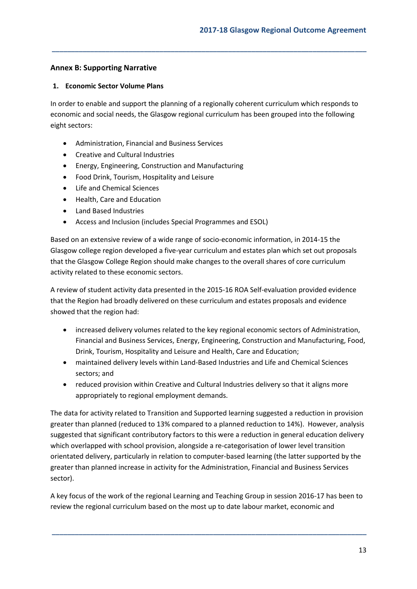## <span id="page-12-0"></span>**Annex B: Supporting Narrative**

#### <span id="page-12-1"></span>**1. Economic Sector Volume Plans**

In order to enable and support the planning of a regionally coherent curriculum which responds to economic and social needs, the Glasgow regional curriculum has been grouped into the following eight sectors:

**\_\_\_\_\_\_\_\_\_\_\_\_\_\_\_\_\_\_\_\_\_\_\_\_\_\_\_\_\_\_\_\_\_\_\_\_\_\_\_\_\_\_\_\_\_\_\_\_\_\_\_\_\_\_\_\_\_\_\_\_\_\_\_\_\_\_\_\_\_\_\_\_\_\_\_\_\_\_\_\_\_\_**

- Administration, Financial and Business Services
- Creative and Cultural Industries
- Energy, Engineering, Construction and Manufacturing
- Food Drink, Tourism, Hospitality and Leisure
- Life and Chemical Sciences
- Health, Care and Education
- Land Based Industries
- Access and Inclusion (includes Special Programmes and ESOL)

Based on an extensive review of a wide range of socio-economic information, in 2014-15 the Glasgow college region developed a five-year curriculum and estates plan which set out proposals that the Glasgow College Region should make changes to the overall shares of core curriculum activity related to these economic sectors.

A review of student activity data presented in the 2015-16 ROA Self-evaluation provided evidence that the Region had broadly delivered on these curriculum and estates proposals and evidence showed that the region had:

- increased delivery volumes related to the key regional economic sectors of Administration, Financial and Business Services, Energy, Engineering, Construction and Manufacturing, Food, Drink, Tourism, Hospitality and Leisure and Health, Care and Education;
- maintained delivery levels within Land-Based Industries and Life and Chemical Sciences sectors; and
- reduced provision within Creative and Cultural Industries delivery so that it aligns more appropriately to regional employment demands.

The data for activity related to Transition and Supported learning suggested a reduction in provision greater than planned (reduced to 13% compared to a planned reduction to 14%). However, analysis suggested that significant contributory factors to this were a reduction in general education delivery which overlapped with school provision, alongside a re-categorisation of lower level transition orientated delivery, particularly in relation to computer-based learning (the latter supported by the greater than planned increase in activity for the Administration, Financial and Business Services sector).

A key focus of the work of the regional Learning and Teaching Group in session 2016-17 has been to review the regional curriculum based on the most up to date labour market, economic and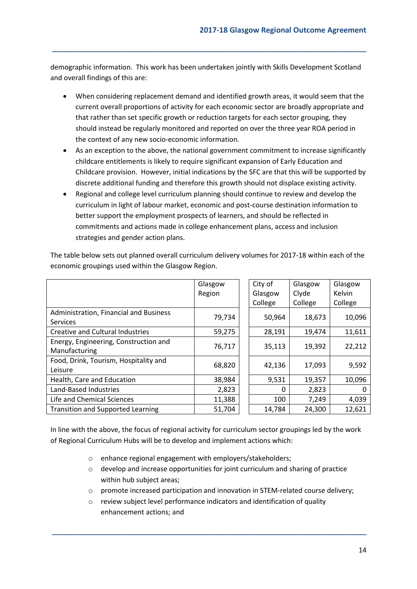demographic information. This work has been undertaken jointly with Skills Development Scotland and overall findings of this are:

**\_\_\_\_\_\_\_\_\_\_\_\_\_\_\_\_\_\_\_\_\_\_\_\_\_\_\_\_\_\_\_\_\_\_\_\_\_\_\_\_\_\_\_\_\_\_\_\_\_\_\_\_\_\_\_\_\_\_\_\_\_\_\_\_\_\_\_\_\_\_\_\_\_\_\_\_\_\_\_\_\_\_**

- When considering replacement demand and identified growth areas, it would seem that the current overall proportions of activity for each economic sector are broadly appropriate and that rather than set specific growth or reduction targets for each sector grouping, they should instead be regularly monitored and reported on over the three year ROA period in the context of any new socio-economic information.
- As an exception to the above, the national government commitment to increase significantly childcare entitlements is likely to require significant expansion of Early Education and Childcare provision. However, initial indications by the SFC are that this will be supported by discrete additional funding and therefore this growth should not displace existing activity.
- Regional and college level curriculum planning should continue to review and develop the curriculum in light of labour market, economic and post-course destination information to better support the employment prospects of learners, and should be reflected in commitments and actions made in college enhancement plans, access and inclusion strategies and gender action plans.

|                                          | Glasgow |  | City of  | Glasgow | Glasgow |  |
|------------------------------------------|---------|--|----------|---------|---------|--|
|                                          | Region  |  | Glasgow  | Clyde   | Kelvin  |  |
|                                          |         |  | College  | College | College |  |
| Administration, Financial and Business   |         |  |          |         |         |  |
| <b>Services</b>                          | 79,734  |  | 50,964   | 18,673  | 10,096  |  |
| Creative and Cultural Industries         | 59,275  |  | 28,191   | 19,474  | 11,611  |  |
| Energy, Engineering, Construction and    |         |  | 35,113   | 19,392  | 22,212  |  |
| Manufacturing                            | 76,717  |  |          |         |         |  |
| Food, Drink, Tourism, Hospitality and    | 68,820  |  | 42,136   | 17,093  | 9,592   |  |
| Leisure                                  |         |  |          |         |         |  |
| Health, Care and Education               | 38,984  |  | 9,531    | 19,357  | 10,096  |  |
| Land-Based Industries                    | 2,823   |  | $\Omega$ | 2,823   | 0       |  |
| Life and Chemical Sciences               | 11,388  |  | 100      | 7,249   | 4,039   |  |
| <b>Transition and Supported Learning</b> | 51,704  |  | 14,784   | 24,300  | 12,621  |  |

The table below sets out planned overall curriculum delivery volumes for 2017-18 within each of the economic groupings used within the Glasgow Region.

In line with the above, the focus of regional activity for curriculum sector groupings led by the work of Regional Curriculum Hubs will be to develop and implement actions which:

- o enhance regional engagement with employers/stakeholders;
- o develop and increase opportunities for joint curriculum and sharing of practice within hub subject areas;
- o promote increased participation and innovation in STEM-related course delivery;
- o review subject level performance indicators and identification of quality enhancement actions; and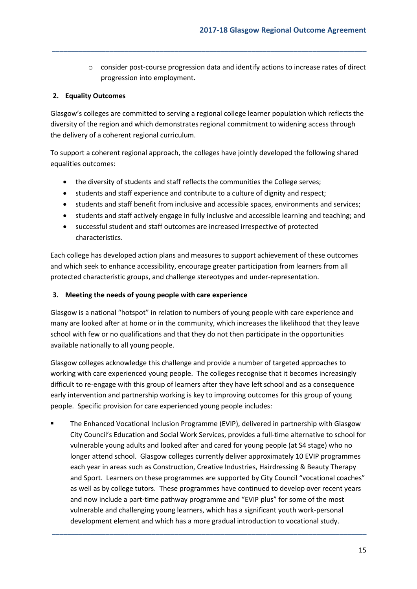o consider post-course progression data and identify actions to increase rates of direct progression into employment.

## <span id="page-14-0"></span>**2. Equality Outcomes**

Glasgow's colleges are committed to serving a regional college learner population which reflects the diversity of the region and which demonstrates regional commitment to widening access through the delivery of a coherent regional curriculum.

**\_\_\_\_\_\_\_\_\_\_\_\_\_\_\_\_\_\_\_\_\_\_\_\_\_\_\_\_\_\_\_\_\_\_\_\_\_\_\_\_\_\_\_\_\_\_\_\_\_\_\_\_\_\_\_\_\_\_\_\_\_\_\_\_\_\_\_\_\_\_\_\_\_\_\_\_\_\_\_\_\_\_**

To support a coherent regional approach, the colleges have jointly developed the following shared equalities outcomes:

- the diversity of students and staff reflects the communities the College serves;
- students and staff experience and contribute to a culture of dignity and respect;
- students and staff benefit from inclusive and accessible spaces, environments and services;
- students and staff actively engage in fully inclusive and accessible learning and teaching; and
- successful student and staff outcomes are increased irrespective of protected characteristics.

Each college has developed action plans and measures to support achievement of these outcomes and which seek to enhance accessibility, encourage greater participation from learners from all protected characteristic groups, and challenge stereotypes and under-representation.

## <span id="page-14-1"></span>**3. Meeting the needs of young people with care experience**

Glasgow is a national "hotspot" in relation to numbers of young people with care experience and many are looked after at home or in the community, which increases the likelihood that they leave school with few or no qualifications and that they do not then participate in the opportunities available nationally to all young people.

Glasgow colleges acknowledge this challenge and provide a number of targeted approaches to working with care experienced young people. The colleges recognise that it becomes increasingly difficult to re-engage with this group of learners after they have left school and as a consequence early intervention and partnership working is key to improving outcomes for this group of young people. Specific provision for care experienced young people includes:

 The Enhanced Vocational Inclusion Programme (EVIP), delivered in partnership with Glasgow City Council's Education and Social Work Services, provides a full-time alternative to school for vulnerable young adults and looked after and cared for young people (at S4 stage) who no longer attend school. Glasgow colleges currently deliver approximately 10 EVIP programmes each year in areas such as Construction, Creative Industries, Hairdressing & Beauty Therapy and Sport. Learners on these programmes are supported by City Council "vocational coaches" as well as by college tutors. These programmes have continued to develop over recent years and now include a part-time pathway programme and "EVIP plus" for some of the most vulnerable and challenging young learners, which has a significant youth work-personal development element and which has a more gradual introduction to vocational study.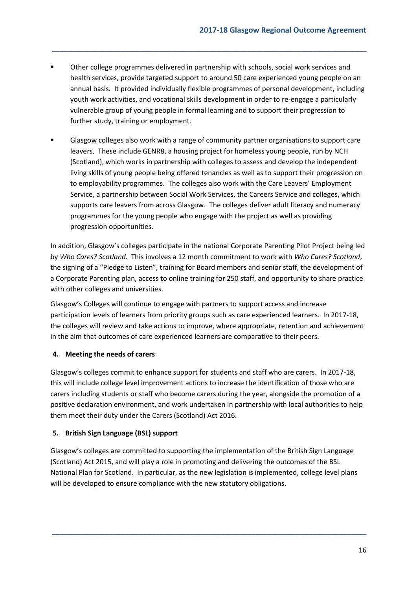Other college programmes delivered in partnership with schools, social work services and health services, provide targeted support to around 50 care experienced young people on an annual basis. It provided individually flexible programmes of personal development, including youth work activities, and vocational skills development in order to re-engage a particularly vulnerable group of young people in formal learning and to support their progression to further study, training or employment.

**\_\_\_\_\_\_\_\_\_\_\_\_\_\_\_\_\_\_\_\_\_\_\_\_\_\_\_\_\_\_\_\_\_\_\_\_\_\_\_\_\_\_\_\_\_\_\_\_\_\_\_\_\_\_\_\_\_\_\_\_\_\_\_\_\_\_\_\_\_\_\_\_\_\_\_\_\_\_\_\_\_\_**

 Glasgow colleges also work with a range of community partner organisations to support care leavers. These include GENR8, a housing project for homeless young people, run by NCH (Scotland), which works in partnership with colleges to assess and develop the independent living skills of young people being offered tenancies as well as to support their progression on to employability programmes. The colleges also work with the Care Leavers' Employment Service, a partnership between Social Work Services, the Careers Service and colleges, which supports care leavers from across Glasgow. The colleges deliver adult literacy and numeracy programmes for the young people who engage with the project as well as providing progression opportunities.

In addition, Glasgow's colleges participate in the national Corporate Parenting Pilot Project being led by *Who Cares? Scotland*. This involves a 12 month commitment to work with *Who Cares? Scotland*, the signing of a "Pledge to Listen", training for Board members and senior staff, the development of a Corporate Parenting plan, access to online training for 250 staff, and opportunity to share practice with other colleges and universities.

Glasgow's Colleges will continue to engage with partners to support access and increase participation levels of learners from priority groups such as care experienced learners. In 2017-18, the colleges will review and take actions to improve, where appropriate, retention and achievement in the aim that outcomes of care experienced learners are comparative to their peers.

## <span id="page-15-0"></span>**4. Meeting the needs of carers**

Glasgow's colleges commit to enhance support for students and staff who are carers. In 2017-18, this will include college level improvement actions to increase the identification of those who are carers including students or staff who become carers during the year, alongside the promotion of a positive declaration environment, and work undertaken in partnership with local authorities to help them meet their duty under the Carers (Scotland) Act 2016.

## <span id="page-15-1"></span>**5. British Sign Language (BSL) support**

Glasgow's colleges are committed to supporting the implementation of the British Sign Language (Scotland) Act 2015, and will play a role in promoting and delivering the outcomes of the BSL National Plan for Scotland. In particular, as the new legislation is implemented, college level plans will be developed to ensure compliance with the new statutory obligations.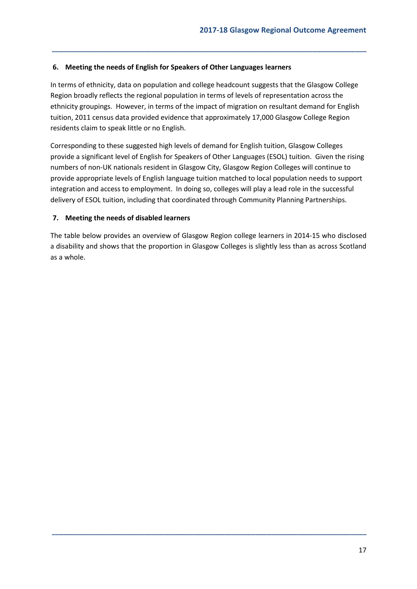## <span id="page-16-0"></span>**6. Meeting the needs of English for Speakers of Other Languages learners**

In terms of ethnicity, data on population and college headcount suggests that the Glasgow College Region broadly reflects the regional population in terms of levels of representation across the ethnicity groupings. However, in terms of the impact of migration on resultant demand for English tuition, 2011 census data provided evidence that approximately 17,000 Glasgow College Region residents claim to speak little or no English.

**\_\_\_\_\_\_\_\_\_\_\_\_\_\_\_\_\_\_\_\_\_\_\_\_\_\_\_\_\_\_\_\_\_\_\_\_\_\_\_\_\_\_\_\_\_\_\_\_\_\_\_\_\_\_\_\_\_\_\_\_\_\_\_\_\_\_\_\_\_\_\_\_\_\_\_\_\_\_\_\_\_\_**

Corresponding to these suggested high levels of demand for English tuition, Glasgow Colleges provide a significant level of English for Speakers of Other Languages (ESOL) tuition. Given the rising numbers of non-UK nationals resident in Glasgow City, Glasgow Region Colleges will continue to provide appropriate levels of English language tuition matched to local population needs to support integration and access to employment. In doing so, colleges will play a lead role in the successful delivery of ESOL tuition, including that coordinated through Community Planning Partnerships.

#### <span id="page-16-1"></span>**7. Meeting the needs of disabled learners**

The table below provides an overview of Glasgow Region college learners in 2014-15 who disclosed a disability and shows that the proportion in Glasgow Colleges is slightly less than as across Scotland as a whole.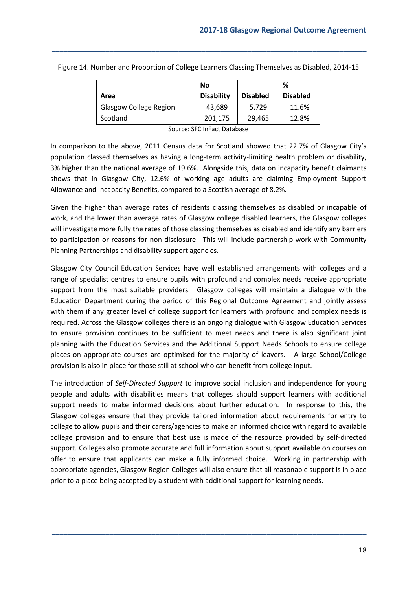|                               | No                |                 | %               |
|-------------------------------|-------------------|-----------------|-----------------|
| Area                          | <b>Disability</b> | <b>Disabled</b> | <b>Disabled</b> |
| <b>Glasgow College Region</b> | 43.689            | 5.729           | 11.6%           |
| Scotland                      | 201,175           | 29,465          | 12.8%           |

Figure 14. Number and Proportion of College Learners Classing Themselves as Disabled, 2014-15

**\_\_\_\_\_\_\_\_\_\_\_\_\_\_\_\_\_\_\_\_\_\_\_\_\_\_\_\_\_\_\_\_\_\_\_\_\_\_\_\_\_\_\_\_\_\_\_\_\_\_\_\_\_\_\_\_\_\_\_\_\_\_\_\_\_\_\_\_\_\_\_\_\_\_\_\_\_\_\_\_\_\_**

Source: SFC InFact Database

In comparison to the above, 2011 Census data for Scotland showed that 22.7% of Glasgow City's population classed themselves as having a long-term activity-limiting health problem or disability, 3% higher than the national average of 19.6%. Alongside this, data on incapacity benefit claimants shows that in Glasgow City, 12.6% of working age adults are claiming Employment Support Allowance and Incapacity Benefits, compared to a Scottish average of 8.2%.

Given the higher than average rates of residents classing themselves as disabled or incapable of work, and the lower than average rates of Glasgow college disabled learners, the Glasgow colleges will investigate more fully the rates of those classing themselves as disabled and identify any barriers to participation or reasons for non-disclosure. This will include partnership work with Community Planning Partnerships and disability support agencies.

Glasgow City Council Education Services have well established arrangements with colleges and a range of specialist centres to ensure pupils with profound and complex needs receive appropriate support from the most suitable providers. Glasgow colleges will maintain a dialogue with the Education Department during the period of this Regional Outcome Agreement and jointly assess with them if any greater level of college support for learners with profound and complex needs is required. Across the Glasgow colleges there is an ongoing dialogue with Glasgow Education Services to ensure provision continues to be sufficient to meet needs and there is also significant joint planning with the Education Services and the Additional Support Needs Schools to ensure college places on appropriate courses are optimised for the majority of leavers. A large School/College provision is also in place for those still at school who can benefit from college input.

The introduction of *Self-Directed Support* to improve social inclusion and independence for young people and adults with disabilities means that colleges should support learners with additional support needs to make informed decisions about further education. In response to this, the Glasgow colleges ensure that they provide tailored information about requirements for entry to college to allow pupils and their carers/agencies to make an informed choice with regard to available college provision and to ensure that best use is made of the resource provided by self-directed support. Colleges also promote accurate and full information about support available on courses on offer to ensure that applicants can make a fully informed choice. Working in partnership with appropriate agencies, Glasgow Region Colleges will also ensure that all reasonable support is in place prior to a place being accepted by a student with additional support for learning needs.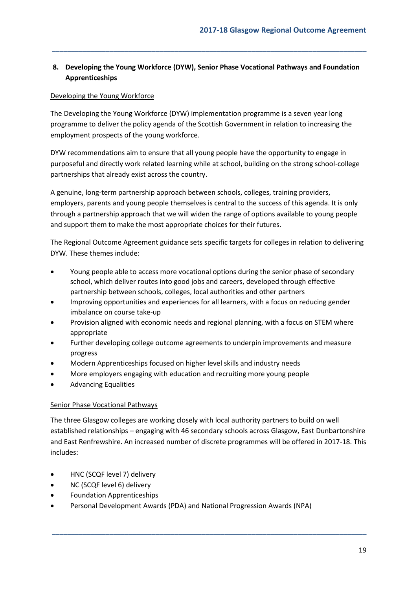## <span id="page-18-0"></span>**8. Developing the Young Workforce (DYW), Senior Phase Vocational Pathways and Foundation Apprenticeships**

**\_\_\_\_\_\_\_\_\_\_\_\_\_\_\_\_\_\_\_\_\_\_\_\_\_\_\_\_\_\_\_\_\_\_\_\_\_\_\_\_\_\_\_\_\_\_\_\_\_\_\_\_\_\_\_\_\_\_\_\_\_\_\_\_\_\_\_\_\_\_\_\_\_\_\_\_\_\_\_\_\_\_**

## Developing the Young Workforce

The Developing the Young Workforce (DYW) implementation programme is a seven year long programme to deliver the policy agenda of the Scottish Government in relation to increasing the employment prospects of the young workforce.

DYW recommendations aim to ensure that all young people have the opportunity to engage in purposeful and directly work related learning while at school, building on the strong school-college partnerships that already exist across the country.

A genuine, long-term partnership approach between schools, colleges, training providers, employers, parents and young people themselves is central to the success of this agenda. It is only through a partnership approach that we will widen the range of options available to young people and support them to make the most appropriate choices for their futures.

The Regional Outcome Agreement guidance sets specific targets for colleges in relation to delivering DYW. These themes include:

- Young people able to access more vocational options during the senior phase of secondary school, which deliver routes into good jobs and careers, developed through effective partnership between schools, colleges, local authorities and other partners
- Improving opportunities and experiences for all learners, with a focus on reducing gender imbalance on course take-up
- Provision aligned with economic needs and regional planning, with a focus on STEM where appropriate
- Further developing college outcome agreements to underpin improvements and measure progress
- Modern Apprenticeships focused on higher level skills and industry needs
- More employers engaging with education and recruiting more young people
- Advancing Equalities

## Senior Phase Vocational Pathways

The three Glasgow colleges are working closely with local authority partners to build on well established relationships – engaging with 46 secondary schools across Glasgow, East Dunbartonshire and East Renfrewshire. An increased number of discrete programmes will be offered in 2017-18. This includes:

- HNC (SCQF level 7) delivery
- NC (SCQF level 6) delivery
- Foundation Apprenticeships
- Personal Development Awards (PDA) and National Progression Awards (NPA)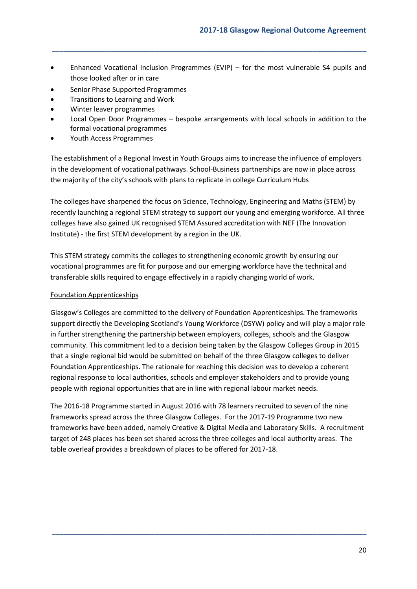Enhanced Vocational Inclusion Programmes (EVIP) – for the most vulnerable S4 pupils and those looked after or in care

**\_\_\_\_\_\_\_\_\_\_\_\_\_\_\_\_\_\_\_\_\_\_\_\_\_\_\_\_\_\_\_\_\_\_\_\_\_\_\_\_\_\_\_\_\_\_\_\_\_\_\_\_\_\_\_\_\_\_\_\_\_\_\_\_\_\_\_\_\_\_\_\_\_\_\_\_\_\_\_\_\_\_**

- Senior Phase Supported Programmes
- Transitions to Learning and Work
- Winter leaver programmes
- Local Open Door Programmes bespoke arrangements with local schools in addition to the formal vocational programmes
- Youth Access Programmes

The establishment of a Regional Invest in Youth Groups aims to increase the influence of employers in the development of vocational pathways. School-Business partnerships are now in place across the majority of the city's schools with plans to replicate in college Curriculum Hubs

The colleges have sharpened the focus on Science, Technology, Engineering and Maths (STEM) by recently launching a regional STEM strategy to support our young and emerging workforce. All three colleges have also gained UK recognised STEM Assured accreditation with NEF (The Innovation Institute) - the first STEM development by a region in the UK.

This STEM strategy commits the colleges to strengthening economic growth by ensuring our vocational programmes are fit for purpose and our emerging workforce have the technical and transferable skills required to engage effectively in a rapidly changing world of work.

## <span id="page-19-0"></span>Foundation Apprenticeships

Glasgow's Colleges are committed to the delivery of Foundation Apprenticeships. The frameworks support directly the Developing Scotland's Young Workforce (DSYW) policy and will play a major role in further strengthening the partnership between employers, colleges, schools and the Glasgow community. This commitment led to a decision being taken by the Glasgow Colleges Group in 2015 that a single regional bid would be submitted on behalf of the three Glasgow colleges to deliver Foundation Apprenticeships. The rationale for reaching this decision was to develop a coherent regional response to local authorities, schools and employer stakeholders and to provide young people with regional opportunities that are in line with regional labour market needs.

The 2016-18 Programme started in August 2016 with 78 learners recruited to seven of the nine frameworks spread across the three Glasgow Colleges. For the 2017-19 Programme two new frameworks have been added, namely Creative & Digital Media and Laboratory Skills. A recruitment target of 248 places has been set shared across the three colleges and local authority areas. The table overleaf provides a breakdown of places to be offered for 2017-18.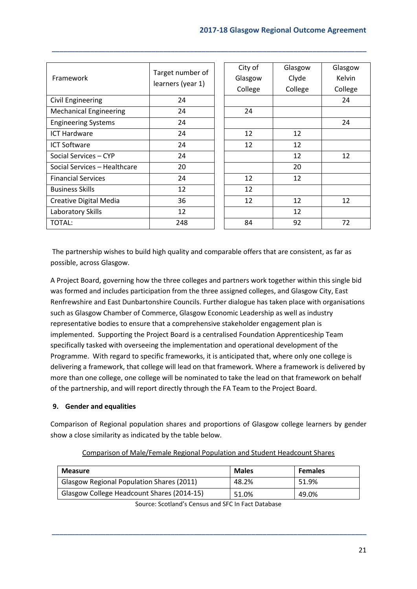| Framework                     | Target number of<br>learners (year 1) | City of<br>Glasgow<br>College | Glasgow<br>Clyde<br>College | Glasgow<br><b>Kelvin</b><br>College |
|-------------------------------|---------------------------------------|-------------------------------|-----------------------------|-------------------------------------|
| <b>Civil Engineering</b>      | 24                                    |                               |                             | 24                                  |
| <b>Mechanical Engineering</b> | 24                                    | 24                            |                             |                                     |
| <b>Engineering Systems</b>    | 24                                    |                               |                             | 24                                  |
| <b>ICT Hardware</b>           | 24                                    | 12                            | 12                          |                                     |
| <b>ICT Software</b>           | 24                                    | 12                            | 12                          |                                     |
| Social Services - CYP         | 24                                    |                               | 12                          | 12                                  |
| Social Services - Healthcare  | 20                                    |                               | 20                          |                                     |
| <b>Financial Services</b>     | 24                                    | 12                            | 12                          |                                     |
| <b>Business Skills</b>        | 12                                    | 12                            |                             |                                     |
| Creative Digital Media        | 36                                    | 12                            | 12                          | 12                                  |
| Laboratory Skills             | 12                                    |                               | 12                          |                                     |
| <b>TOTAL:</b>                 | 248                                   | 84                            | 92                          | 72                                  |

**\_\_\_\_\_\_\_\_\_\_\_\_\_\_\_\_\_\_\_\_\_\_\_\_\_\_\_\_\_\_\_\_\_\_\_\_\_\_\_\_\_\_\_\_\_\_\_\_\_\_\_\_\_\_\_\_\_\_\_\_\_\_\_\_\_\_\_\_\_\_\_\_\_\_\_\_\_\_\_\_\_\_**

The partnership wishes to build high quality and comparable offers that are consistent, as far as possible, across Glasgow.

A Project Board, governing how the three colleges and partners work together within this single bid was formed and includes participation from the three assigned colleges, and Glasgow City, East Renfrewshire and East Dunbartonshire Councils. Further dialogue has taken place with organisations such as Glasgow Chamber of Commerce, Glasgow Economic Leadership as well as industry representative bodies to ensure that a comprehensive stakeholder engagement plan is implemented. Supporting the Project Board is a centralised Foundation Apprenticeship Team specifically tasked with overseeing the implementation and operational development of the Programme. With regard to specific frameworks, it is anticipated that, where only one college is delivering a framework, that college will lead on that framework. Where a framework is delivered by more than one college, one college will be nominated to take the lead on that framework on behalf of the partnership, and will report directly through the FA Team to the Project Board.

## <span id="page-20-0"></span>**9. Gender and equalities**

Comparison of Regional population shares and proportions of Glasgow college learners by gender show a close similarity as indicated by the table below.

| <b>Measure</b>                             | <b>Males</b> | <b>Females</b> |
|--------------------------------------------|--------------|----------------|
| Glasgow Regional Population Shares (2011)  | 48.2%        | 51.9%          |
| Glasgow College Headcount Shares (2014-15) | 51.0%        | 49.0%          |

Comparison of Male/Female Regional Population and Student Headcount Shares

Source: Scotland's Census and SFC In Fact Database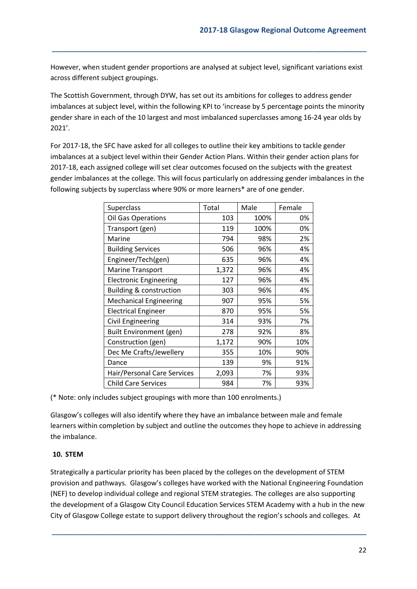However, when student gender proportions are analysed at subject level, significant variations exist across different subject groupings.

**\_\_\_\_\_\_\_\_\_\_\_\_\_\_\_\_\_\_\_\_\_\_\_\_\_\_\_\_\_\_\_\_\_\_\_\_\_\_\_\_\_\_\_\_\_\_\_\_\_\_\_\_\_\_\_\_\_\_\_\_\_\_\_\_\_\_\_\_\_\_\_\_\_\_\_\_\_\_\_\_\_\_**

The Scottish Government, through DYW, has set out its ambitions for colleges to address gender imbalances at subject level, within the following KPI to 'increase by 5 percentage points the minority gender share in each of the 10 largest and most imbalanced superclasses among 16-24 year olds by 2021'.

For 2017-18, the SFC have asked for all colleges to outline their key ambitions to tackle gender imbalances at a subject level within their Gender Action Plans. Within their gender action plans for 2017-18, each assigned college will set clear outcomes focused on the subjects with the greatest gender imbalances at the college. This will focus particularly on addressing gender imbalances in the following subjects by superclass where 90% or more learners\* are of one gender.

| Superclass                         | Total | Male | Female |
|------------------------------------|-------|------|--------|
| Oil Gas Operations                 | 103   | 100% | 0%     |
| Transport (gen)                    | 119   | 100% | 0%     |
| Marine                             | 794   | 98%  | 2%     |
| <b>Building Services</b>           | 506   | 96%  | 4%     |
| Engineer/Tech(gen)                 | 635   | 96%  | 4%     |
| Marine Transport                   | 1,372 | 96%  | 4%     |
| <b>Electronic Engineering</b>      | 127   | 96%  | 4%     |
| <b>Building &amp; construction</b> | 303   | 96%  | 4%     |
| <b>Mechanical Engineering</b>      | 907   | 95%  | 5%     |
| <b>Electrical Engineer</b>         | 870   | 95%  | 5%     |
| Civil Engineering                  | 314   | 93%  | 7%     |
| Built Environment (gen)            | 278   | 92%  | 8%     |
| Construction (gen)                 | 1,172 | 90%  | 10%    |
| Dec Me Crafts/Jewellery            | 355   | 10%  | 90%    |
| Dance                              | 139   | 9%   | 91%    |
| Hair/Personal Care Services        | 2,093 | 7%   | 93%    |
| <b>Child Care Services</b>         | 984   | 7%   | 93%    |

(\* Note: only includes subject groupings with more than 100 enrolments.)

Glasgow's colleges will also identify where they have an imbalance between male and female learners within completion by subject and outline the outcomes they hope to achieve in addressing the imbalance.

## <span id="page-21-0"></span>**10. STEM**

Strategically a particular priority has been placed by the colleges on the development of STEM provision and pathways. Glasgow's colleges have worked with the National Engineering Foundation (NEF) to develop individual college and regional STEM strategies. The colleges are also supporting the development of a Glasgow City Council Education Services STEM Academy with a hub in the new City of Glasgow College estate to support delivery throughout the region's schools and colleges. At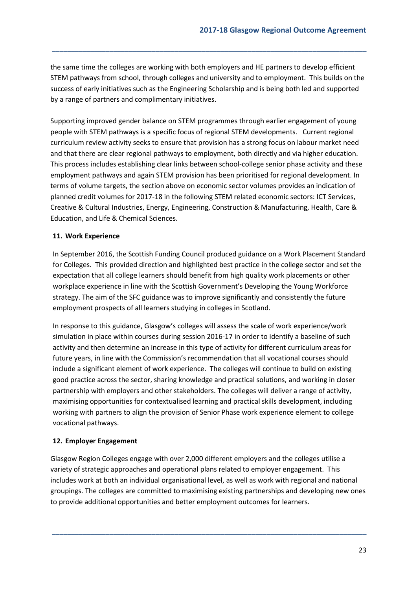the same time the colleges are working with both employers and HE partners to develop efficient STEM pathways from school, through colleges and university and to employment. This builds on the success of early initiatives such as the Engineering Scholarship and is being both led and supported by a range of partners and complimentary initiatives.

**\_\_\_\_\_\_\_\_\_\_\_\_\_\_\_\_\_\_\_\_\_\_\_\_\_\_\_\_\_\_\_\_\_\_\_\_\_\_\_\_\_\_\_\_\_\_\_\_\_\_\_\_\_\_\_\_\_\_\_\_\_\_\_\_\_\_\_\_\_\_\_\_\_\_\_\_\_\_\_\_\_\_**

Supporting improved gender balance on STEM programmes through earlier engagement of young people with STEM pathways is a specific focus of regional STEM developments. Current regional curriculum review activity seeks to ensure that provision has a strong focus on labour market need and that there are clear regional pathways to employment, both directly and via higher education. This process includes establishing clear links between school-college senior phase activity and these employment pathways and again STEM provision has been prioritised for regional development. In terms of volume targets, the section above on economic sector volumes provides an indication of planned credit volumes for 2017-18 in the following STEM related economic sectors: ICT Services, Creative & Cultural Industries, Energy, Engineering, Construction & Manufacturing, Health, Care & Education, and Life & Chemical Sciences.

#### <span id="page-22-0"></span>**11. Work Experience**

In September 2016, the Scottish Funding Council produced guidance on a Work Placement Standard for Colleges. This provided direction and highlighted best practice in the college sector and set the expectation that all college learners should benefit from high quality work placements or other workplace experience in line with the Scottish Government's Developing the Young Workforce strategy. The aim of the SFC guidance was to improve significantly and consistently the future employment prospects of all learners studying in colleges in Scotland.

In response to this guidance, Glasgow's colleges will assess the scale of work experience/work simulation in place within courses during session 2016-17 in order to identify a baseline of such activity and then determine an increase in this type of activity for different curriculum areas for future years, in line with the Commission's recommendation that all vocational courses should include a significant element of work experience. The colleges will continue to build on existing good practice across the sector, sharing knowledge and practical solutions, and working in closer partnership with employers and other stakeholders. The colleges will deliver a range of activity, maximising opportunities for contextualised learning and practical skills development, including working with partners to align the provision of Senior Phase work experience element to college vocational pathways.

## <span id="page-22-1"></span>**12. Employer Engagement**

Glasgow Region Colleges engage with over 2,000 different employers and the colleges utilise a variety of strategic approaches and operational plans related to employer engagement. This includes work at both an individual organisational level, as well as work with regional and national groupings. The colleges are committed to maximising existing partnerships and developing new ones to provide additional opportunities and better employment outcomes for learners.